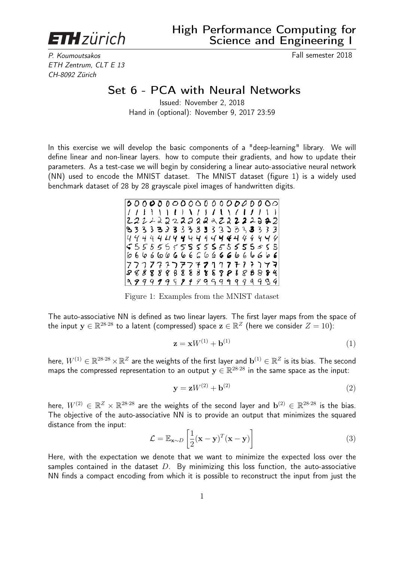**ETH** zürich

P. Koumoutsakos Fall semester 2018 ETH Zentrum, CLT E 13 CH-8092 Zürich

# Set 6 - PCA with Neural Networks

Issued: November 2, 2018 Hand in (optional): November 9, 2017 23:59

In this exercise we will develop the basic components of a "deep-learning" library. We will define linear and non-linear layers. how to compute their gradients, and how to update their parameters. As a test-case we will begin by considering a linear auto-associative neural network (NN) used to encode the MNIST dataset. The MNIST dataset (figure 1) is a widely used benchmark dataset of 28 by 28 grayscale pixel images of handwritten digits.



Figure 1: Examples from the MNIST dataset

The auto-associative NN is defined as two linear layers. The first layer maps from the space of the input  $\mathbf{y} \in \mathbb{R}^{28 \cdot 28}$  to a latent (compressed) space  $\mathbf{z} \in \mathbb{R}^Z$  (here we consider  $Z=10$ ):

$$
\mathbf{z} = \mathbf{x}W^{(1)} + \mathbf{b}^{(1)}\tag{1}
$$

here,  $W^{(1)}\in\mathbb{R}^{28\cdot 28}\times\mathbb{R}^Z$  are the weights of the first layer and  $\mathbf{b}^{(1)}\in\mathbb{R}^Z$  is its bias. The second maps the compressed representation to an output  $\mathbf{y} \in \mathbb{R}^{28 \cdot 28}$  in the same space as the input:

$$
\mathbf{y} = \mathbf{z}W^{(2)} + \mathbf{b}^{(2)}\tag{2}
$$

here,  $W^{(2)}\,\in\,\mathbb{R}^Z\times\mathbb{R}^{28\cdot 28}$  are the weights of the second layer and  $\mathbf{b}^{(2)}\,\in\,\mathbb{R}^{28\cdot 28}$  is the bias. The objective of the auto-associative NN is to provide an output that minimizes the squared distance from the input:

$$
\mathcal{L} = \mathbb{E}_{\mathbf{x} \sim D} \left[ \frac{1}{2} (\mathbf{x} - \mathbf{y})^T (\mathbf{x} - \mathbf{y}) \right]
$$
(3)

Here, with the expectation we denote that we want to minimize the expected loss over the samples contained in the dataset  $D$ . By minimizing this loss function, the auto-associative NN finds a compact encoding from which it is possible to reconstruct the input from just the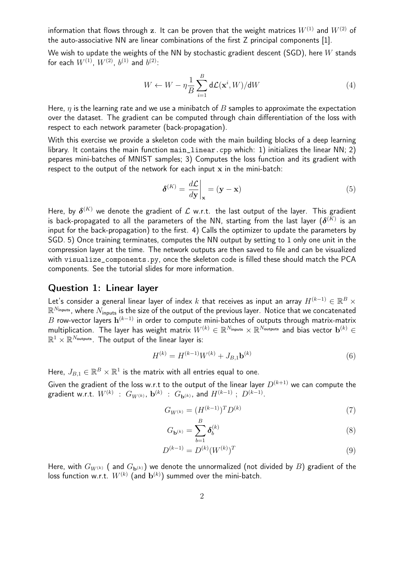information that flows through z. It can be proven that the weight matrices  $W^{(1)}$  and  $W^{(2)}$  of the auto-associative NN are linear combinations of the first Z principal components [1].

We wish to update the weights of the NN by stochastic gradient descent (SGD), here  $W$  stands for each  $W^{(1)}$ ,  $W^{(2)}$ ,  $b^{(1)}$  and  $b^{(2)}$ :

$$
W \leftarrow W - \eta \frac{1}{B} \sum_{i=1}^{B} d\mathcal{L}(\mathbf{x}^i, W) / dW \tag{4}
$$

Here,  $\eta$  is the learning rate and we use a minibatch of B samples to approximate the expectation over the dataset. The gradient can be computed through chain differentiation of the loss with respect to each network parameter (back-propagation).

With this exercise we provide a skeleton code with the main building blocks of a deep learning library. It contains the main function main\_linear.cpp which: 1) initializes the linear NN; 2) pepares mini-batches of MNIST samples; 3) Computes the loss function and its gradient with respect to the output of the network for each input  $x$  in the mini-batch:

$$
\delta^{(K)} = \left. \frac{d\mathcal{L}}{d\mathbf{y}} \right|_{\mathbf{x}} = (\mathbf{y} - \mathbf{x}) \tag{5}
$$

Here, by  $\boldsymbol{\delta}^{(K)}$  we denote the gradient of  ${\cal L}$  w.r.t. the last output of the layer. This gradient is back-propagated to all the parameters of the NN, starting from the last layer  $(\boldsymbol{\delta}^{(K)}$  is an input for the back-propagation) to the first. 4) Calls the optimizer to update the parameters by SGD. 5) Once training terminates, computes the NN output by setting to 1 only one unit in the compression layer at the time. The network outputs are then saved to file and can be visualized with visualize\_components.py, once the skeleton code is filled these should match the PCA components. See the tutorial slides for more information.

#### Question 1: Linear layer

Let's consider a general linear layer of index  $k$  that receives as input an array  $H^{(k-1)} \in \mathbb{R}^B \times$  $\mathbb{R}^{N_\mathsf{inputs}}$ , where  $N_\mathsf{inputs}$  is the size of the output of the previous layer. Notice that we concatenated  $B$  row-vector layers  $\mathbf{h}^{(k-1)}$  in order to compute mini-batches of outputs through matrix-matrix multiplication. The layer has weight matrix  $W^{(k)} \in \mathbb{R}^{N_{\sf inputs}} \times \mathbb{R}^{N_{\sf outputs}}$  and bias vector  $\mathbf{b}^{(k)} \in$  $\mathbb{R}^1 \times \mathbb{R}^{N_\mathsf{outputs}}$ . The output of the linear layer is:

$$
H^{(k)} = H^{(k-1)}W^{(k)} + J_{B,1}\mathbf{b}^{(k)}
$$
(6)

Here,  $J_{B,1} \in \mathbb{R}^B \times \mathbb{R}^1$  is the matrix with all entries equal to one.

Given the gradient of the loss w.r.t to the output of the linear layer  $D^{(k+1)}$  we can compute the gradient w.r.t.  $W^{(k)}$  :  $G_{W^{(k)}},\,{\bf b}^{(k)}$  :  $G_{{\bf b}^{(k)}},\,$  and  $H^{(k-1)}\;;\;D^{(k-1)}.$ 

$$
G_{W^{(k)}} = (H^{(k-1)})^T D^{(k)} \tag{7}
$$

$$
G_{\mathbf{b}^{(k)}} = \sum_{b=1}^{B} \delta_b^{(k)} \tag{8}
$$

$$
D^{(k-1)} = D^{(k)}(W^{(k)})^T
$$
\n(9)

Here, with  $G_{W^{(k)}}$  (and  $G_{\mathbf{b}^{(k)}}$ ) we denote the unnormalized (not divided by B) gradient of the loss function w.r.t.  $W^{(k)}$  (and  $\mathbf{b}^{(k)})$  summed over the mini-batch.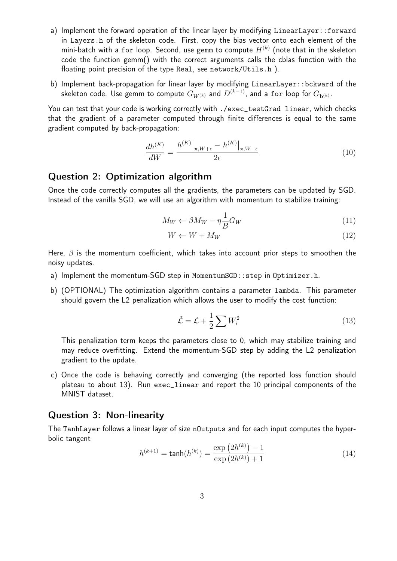- a) Implement the forward operation of the linear layer by modifying LinearLayer::forward in Layers.h of the skeleton code. First, copy the bias vector onto each element of the mini-batch with a for loop. Second, use gemm to compute  $H^{(k)}$  (note that in the skeleton code the function gemm() with the correct arguments calls the cblas function with the floating point precision of the type Real, see network/Utils.h ).
- b) Implement back-propagation for linear layer by modifying LinearLayer::bckward of the skeleton code. Use gemm to compute  $G_{W^{(k)}}$  and  $D^{(k-1)}$ , and a for loop for  $G_{\mathbf{b}^{(k)}}$ .

You can test that your code is working correctly with ./exec\_testGrad linear, which checks that the gradient of a parameter computed through finite differences is equal to the same gradient computed by back-propagation:

$$
\frac{dh^{(K)}}{dW} = \frac{h^{(K)}|_{\mathbf{x}, W+\epsilon} - h^{(K)}|_{\mathbf{x}, W-\epsilon}}{2\epsilon} \tag{10}
$$

### Question 2: Optimization algorithm

Once the code correctly computes all the gradients, the parameters can be updated by SGD. Instead of the vanilla SGD, we will use an algorithm with momentum to stabilize training:

$$
M_W \leftarrow \beta M_W - \eta \frac{1}{B} G_W \tag{11}
$$

$$
W \leftarrow W + M_W \tag{12}
$$

Here,  $\beta$  is the momentum coefficient, which takes into account prior steps to smoothen the noisy updates.

- a) Implement the momentum-SGD step in MomentumSGD::step in Optimizer.h.
- b) (OPTIONAL) The optimization algorithm contains a parameter lambda. This parameter should govern the L2 penalization which allows the user to modify the cost function:

$$
\tilde{\mathcal{L}} = \mathcal{L} + \frac{1}{2} \sum W_i^2 \tag{13}
$$

This penalization term keeps the parameters close to 0, which may stabilize training and may reduce overfitting. Extend the momentum-SGD step by adding the L2 penalization gradient to the update.

c) Once the code is behaving correctly and converging (the reported loss function should plateau to about 13). Run exec\_linear and report the 10 principal components of the MNIST dataset.

#### Question 3: Non-linearity

The TanhLayer follows a linear layer of size nOutputs and for each input computes the hyperbolic tangent  $k$  (k)

$$
h^{(k+1)} = \tanh(h^{(k)}) = \frac{\exp(2h^{(k)}) - 1}{\exp(2h^{(k)}) + 1}
$$
\n(14)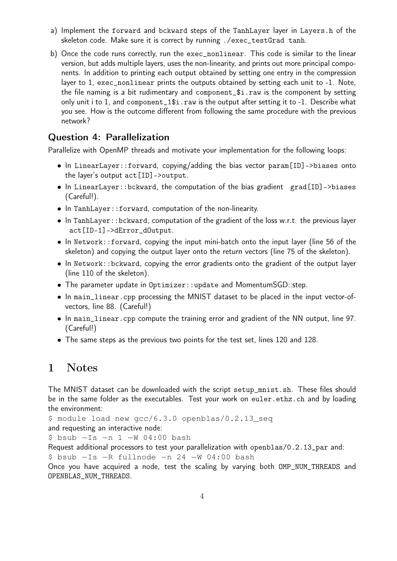- a) Implement the forward and bckward steps of the TanhLayer layer in Layers.h of the skeleton code. Make sure it is correct by running ./exec\_testGrad tanh.
- b) Once the code runs correctly, run the exec\_nonlinear. This code is similar to the linear version, but adds multiple layers, uses the non-linearity, and prints out more principal components. In addition to printing each output obtained by setting one entry in the compression layer to 1, exec\_nonlinear prints the outputs obtained by setting each unit to -1. Note, the file naming is a bit rudimentary and component\_\$i.raw is the component by setting only unit i to 1, and component\_1\$i.raw is the output after setting it to -1. Describe what you see. How is the outcome different from following the same procedure with the previous network?

## Question 4: Parallelization

Parallelize with OpenMP threads and motivate your implementation for the following loops:

- In LinearLayer::forward, copying/adding the bias vector param[ID]->biases onto the layer's output act[ID]->output.
- In LinearLayer::bckward, the computation of the bias gradient grad[ID]->biases (Careful!).
- In TanhLayer::forward, computation of the non-linearity.
- In TanhLayer::bckward, computation of the gradient of the loss w.r.t. the previous layer act[ID-1]->dError\_dOutput.
- In Network::forward, copying the input mini-batch onto the input layer (line 56 of the skeleton) and copying the output layer onto the return vectors (line 75 of the skeleton).
- In Network::bckward, copying the error gradients onto the gradient of the output layer (line 110 of the skeleton).
- The parameter update in Optimizer::update and MomentumSGD::step.
- In main\_linear.cpp processing the MNIST dataset to be placed in the input vector-ofvectors, line 88. (Careful!)
- In main\_linear.cpp compute the training error and gradient of the NN output, line 97. (Careful!)
- The same steps as the previous two points for the test set, lines 120 and 128.

## 1 Notes

The MNIST dataset can be downloaded with the script setup\_mnist.sh. These files should be in the same folder as the executables. Test your work on euler.ethz.ch and by loading the environment:

\$ module load new gcc/6.3.0 openblas/0.2.13\_seq and requesting an interactive node:

\$ bsub −Is −n 1 −W 04:00 bash

Request additional processors to test your parallelization with openblas/0.2.13\_par and:

\$ bsub −Is −R fullnode −n 24 −W 04:00 bash

Once you have acquired a node, test the scaling by varying both OMP\_NUM\_THREADS and OPENBLAS\_NUM\_THREADS.